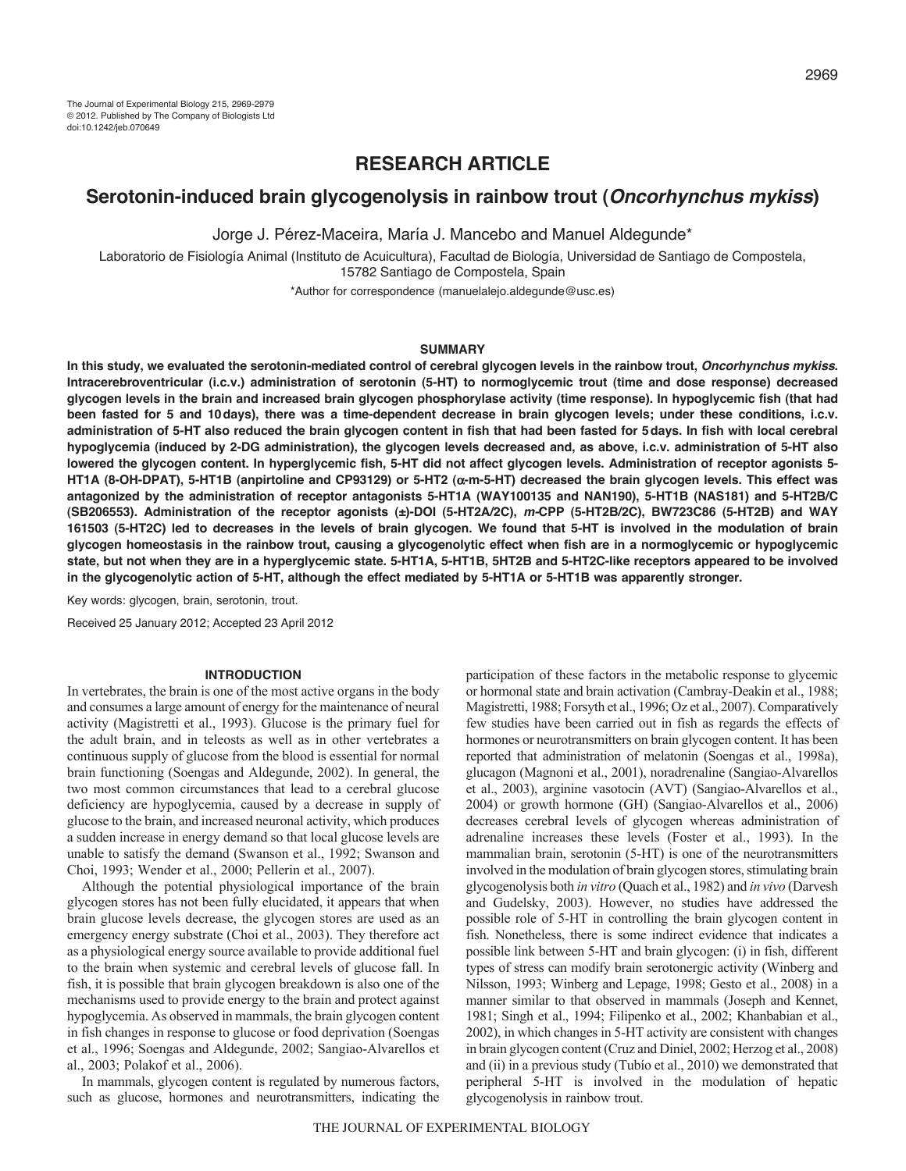# **RESEARCH ARTICLE**

## **Serotonin-induced brain glycogenolysis in rainbow trout (***Oncorhynchus mykiss***)**

Jorge J. Pérez-Maceira, María J. Mancebo and Manuel Aldegunde\*

Laboratorio de Fisiología Animal (Instituto de Acuicultura), Facultad de Biología, Universidad de Santiago de Compostela, 15782 Santiago de Compostela, Spain

\*Author for correspondence (manuelalejo.aldegunde@usc.es)

#### **SUMMARY**

**In this study, we evaluated the serotonin-mediated control of cerebral glycogen levels in the rainbow trout,** *Oncorhynchus mykiss***. Intracerebroventricular (i.c.v.) administration of serotonin (5-HT) to normoglycemic trout (time and dose response) decreased glycogen levels in the brain and increased brain glycogen phosphorylase activity (time response). In hypoglycemic fish (that had been fasted for 5 and 10days), there was a time-dependent decrease in brain glycogen levels; under these conditions, i.c.v. administration of 5-HT also reduced the brain glycogen content in fish that had been fasted for 5days. In fish with local cerebral hypoglycemia (induced by 2-DG administration), the glycogen levels decreased and, as above, i.c.v. administration of 5-HT also lowered the glycogen content. In hyperglycemic fish, 5-HT did not affect glycogen levels. Administration of receptor agonists 5- HT1A (8-OH-DPAT), 5-HT1B (anpirtoline and CP93129) or 5-HT2 (-m-5-HT) decreased the brain glycogen levels. This effect was antagonized by the administration of receptor antagonists 5-HT1A (WAY100135 and NAN190), 5-HT1B (NAS181) and 5-HT2B/C (SB206553). Administration of the receptor agonists (±)-DOI (5-HT2A/2C),** *m-***CPP (5-HT2B/2C), BW723C86 (5-HT2B) and WAY 161503 (5-HT2C) led to decreases in the levels of brain glycogen. We found that 5-HT is involved in the modulation of brain glycogen homeostasis in the rainbow trout, causing a glycogenolytic effect when fish are in a normoglycemic or hypoglycemic state, but not when they are in a hyperglycemic state. 5-HT1A, 5-HT1B, 5HT2B and 5-HT2C-like receptors appeared to be involved in the glycogenolytic action of 5-HT, although the effect mediated by 5-HT1A or 5-HT1B was apparently stronger.**

Key words: glycogen, brain, serotonin, trout.

Received 25 January 2012; Accepted 23 April 2012

#### **INTRODUCTION**

In vertebrates, the brain is one of the most active organs in the body and consumes a large amount of energy for the maintenance of neural activity (Magistretti et al., 1993). Glucose is the primary fuel for the adult brain, and in teleosts as well as in other vertebrates a continuous supply of glucose from the blood is essential for normal brain functioning (Soengas and Aldegunde, 2002). In general, the two most common circumstances that lead to a cerebral glucose deficiency are hypoglycemia, caused by a decrease in supply of glucose to the brain, and increased neuronal activity, which produces a sudden increase in energy demand so that local glucose levels are unable to satisfy the demand (Swanson et al., 1992; Swanson and Choi, 1993; Wender et al., 2000; Pellerin et al., 2007).

Although the potential physiological importance of the brain glycogen stores has not been fully elucidated, it appears that when brain glucose levels decrease, the glycogen stores are used as an emergency energy substrate (Choi et al., 2003). They therefore act as a physiological energy source available to provide additional fuel to the brain when systemic and cerebral levels of glucose fall. In fish, it is possible that brain glycogen breakdown is also one of the mechanisms used to provide energy to the brain and protect against hypoglycemia. As observed in mammals, the brain glycogen content in fish changes in response to glucose or food deprivation (Soengas et al., 1996; Soengas and Aldegunde, 2002; Sangiao-Alvarellos et al., 2003; Polakof et al., 2006).

In mammals, glycogen content is regulated by numerous factors, such as glucose, hormones and neurotransmitters, indicating the participation of these factors in the metabolic response to glycemic or hormonal state and brain activation (Cambray-Deakin et al., 1988; Magistretti, 1988; Forsyth et al., 1996; Oz et al., 2007). Comparatively few studies have been carried out in fish as regards the effects of hormones or neurotransmitters on brain glycogen content. It has been reported that administration of melatonin (Soengas et al., 1998a), glucagon (Magnoni et al., 2001), noradrenaline (Sangiao-Alvarellos et al., 2003), arginine vasotocin (AVT) (Sangiao-Alvarellos et al., 2004) or growth hormone (GH) (Sangiao-Alvarellos et al., 2006) decreases cerebral levels of glycogen whereas administration of adrenaline increases these levels (Foster et al., 1993). In the mammalian brain, serotonin (5-HT) is one of the neurotransmitters involved in the modulation of brain glycogen stores, stimulating brain glycogenolysis both *in vitro* (Quach et al., 1982) and *in vivo* (Darvesh and Gudelsky, 2003). However, no studies have addressed the possible role of 5-HT in controlling the brain glycogen content in fish. Nonetheless, there is some indirect evidence that indicates a possible link between 5-HT and brain glycogen: (i) in fish, different types of stress can modify brain serotonergic activity (Winberg and Nilsson, 1993; Winberg and Lepage, 1998; Gesto et al., 2008) in a manner similar to that observed in mammals (Joseph and Kennet, 1981; Singh et al., 1994; Filipenko et al., 2002; Khanbabian et al., 2002), in which changes in 5-HT activity are consistent with changes in brain glycogen content (Cruz and Diniel, 2002; Herzog et al., 2008) and (ii) in a previous study (Tubío et al., 2010) we demonstrated that peripheral 5-HT is involved in the modulation of hepatic glycogenolysis in rainbow trout.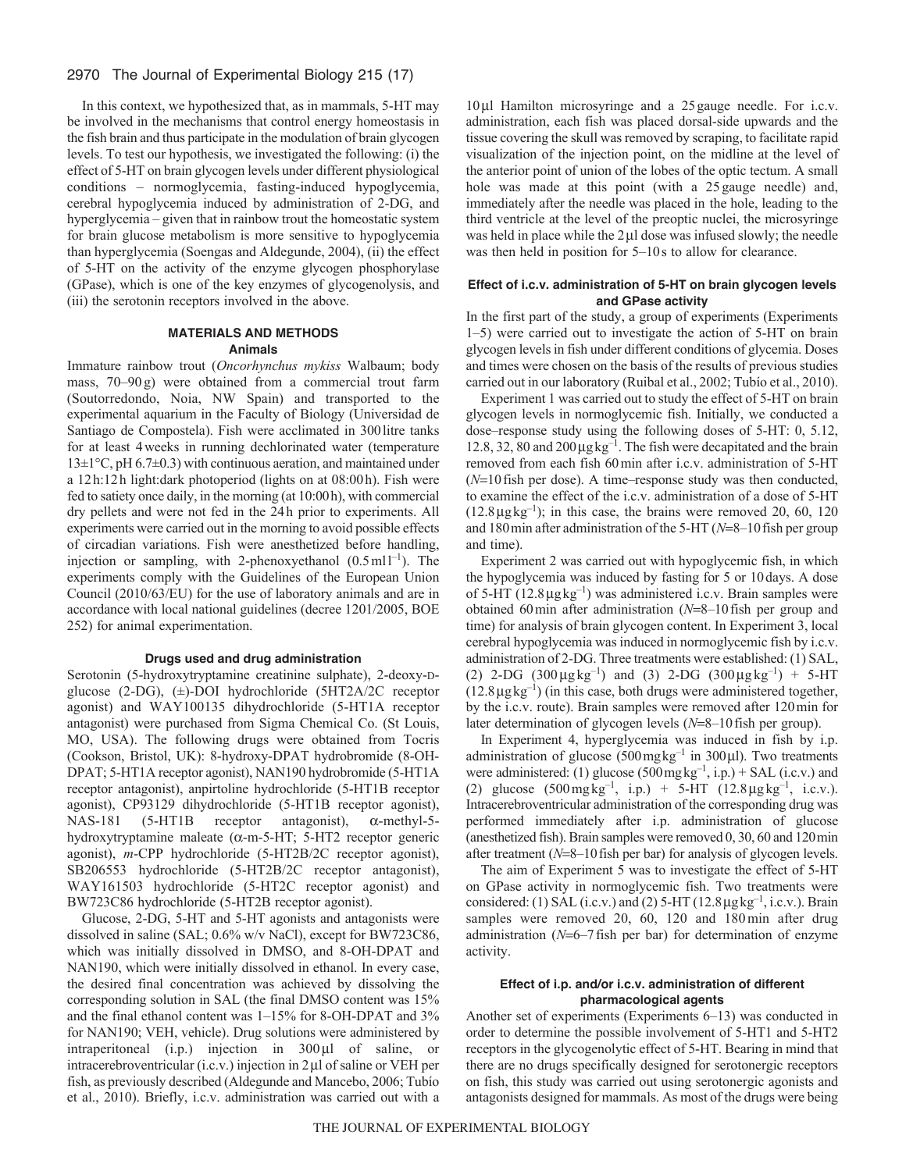## 2970 The Journal of Experimental Biology 215 (17)

In this context, we hypothesized that, as in mammals, 5-HT may be involved in the mechanisms that control energy homeostasis in the fish brain and thus participate in the modulation of brain glycogen levels. To test our hypothesis, we investigated the following: (i) the effect of 5-HT on brain glycogen levels under different physiological conditions – normoglycemia, fasting-induced hypoglycemia, cerebral hypoglycemia induced by administration of 2-DG, and hyperglycemia – given that in rainbow trout the homeostatic system for brain glucose metabolism is more sensitive to hypoglycemia than hyperglycemia (Soengas and Aldegunde, 2004), (ii) the effect of 5-HT on the activity of the enzyme glycogen phosphorylase (GPase), which is one of the key enzymes of glycogenolysis, and (iii) the serotonin receptors involved in the above.

#### **MATERIALS AND METHODS Animals**

Immature rainbow trout (*Oncorhynchus mykiss* Walbaum; body mass, 70–90 g) were obtained from a commercial trout farm (Soutorredondo, Noia, NW Spain) and transported to the experimental aquarium in the Faculty of Biology (Universidad de Santiago de Compostela). Fish were acclimated in 300litre tanks for at least 4weeks in running dechlorinated water (temperature  $13\pm1\degree$ C, pH 6.7 $\pm$ 0.3) with continuous aeration, and maintained under a 12h:12h light:dark photoperiod (lights on at 08:00h). Fish were fed to satiety once daily, in the morning (at 10:00h), with commercial dry pellets and were not fed in the 24h prior to experiments. All experiments were carried out in the morning to avoid possible effects of circadian variations. Fish were anesthetized before handling, injection or sampling, with 2-phenoxyethanol  $(0.5 \text{ ml}^{-1})$ . The experiments comply with the Guidelines of the European Union Council (2010/63/EU) for the use of laboratory animals and are in accordance with local national guidelines (decree 1201/2005, BOE 252) for animal experimentation.

## **Drugs used and drug administration**

Serotonin (5-hydroxytryptamine creatinine sulphate), 2-deoxy-Dglucose (2-DG), (±)-DOI hydrochloride (5HT2A/2C receptor agonist) and WAY100135 dihydrochloride (5-HT1A receptor antagonist) were purchased from Sigma Chemical Co. (St Louis, MO, USA). The following drugs were obtained from Tocris (Cookson, Bristol, UK): 8-hydroxy-DPAT hydrobromide (8-OH-DPAT; 5-HT1A receptor agonist), NAN190 hydrobromide (5-HT1A receptor antagonist), anpirtoline hydrochloride (5-HT1B receptor agonist), CP93129 dihydrochloride (5-HT1B receptor agonist),  $NAS-181$  (5-HT1B receptor antagonist),  $\alpha$ -methyl-5hydroxytryptamine maleate ( $\alpha$ -m-5-HT; 5-HT2 receptor generic agonist), *m*-CPP hydrochloride (5-HT2B/2C receptor agonist), SB206553 hydrochloride (5-HT2B/2C receptor antagonist), WAY161503 hydrochloride (5-HT2C receptor agonist) and BW723C86 hydrochloride (5-HT2B receptor agonist).

Glucose, 2-DG, 5-HT and 5-HT agonists and antagonists were dissolved in saline (SAL; 0.6% w/v NaCl), except for BW723C86, which was initially dissolved in DMSO, and 8-OH-DPAT and NAN190, which were initially dissolved in ethanol. In every case, the desired final concentration was achieved by dissolving the corresponding solution in SAL (the final DMSO content was 15% and the final ethanol content was 1–15% for 8-OH-DPAT and 3% for NAN190; VEH, vehicle). Drug solutions were administered by intraperitoneal  $(i.p.)$  injection in  $300 \mu l$  of saline, or intracerebroventricular  $(i.c.v.)$  injection in  $2\mu$  of saline or VEH per fish, as previously described (Aldegunde and Mancebo, 2006; Tubío et al., 2010). Briefly, i.c.v. administration was carried out with a

10ul Hamilton microsyringe and a 25 gauge needle. For i.c.v. administration, each fish was placed dorsal-side upwards and the tissue covering the skull was removed by scraping, to facilitate rapid visualization of the injection point, on the midline at the level of the anterior point of union of the lobes of the optic tectum. A small hole was made at this point (with a 25 gauge needle) and, immediately after the needle was placed in the hole, leading to the third ventricle at the level of the preoptic nuclei, the microsyringe was held in place while the  $2\mu$ l dose was infused slowly; the needle was then held in position for 5–10s to allow for clearance.

#### **Effect of i.c.v. administration of 5-HT on brain glycogen levels and GPase activity**

In the first part of the study, a group of experiments (Experiments 1–5) were carried out to investigate the action of 5-HT on brain glycogen levels in fish under different conditions of glycemia. Doses and times were chosen on the basis of the results of previous studies carried out in our laboratory (Ruibal et al., 2002; Tubío et al., 2010).

Experiment 1 was carried out to study the effect of 5-HT on brain glycogen levels in normoglycemic fish. Initially, we conducted a dose–response study using the following doses of 5-HT: 0, 5.12, 12.8, 32, 80 and  $200 \mu g kg^{-1}$ . The fish were decapitated and the brain removed from each fish 60min after i.c.v. administration of 5-HT  $(N=10$  fish per dose). A time–response study was then conducted, to examine the effect of the i.c.v. administration of a dose of 5-HT  $(12.8 \mu g kg^{-1})$ ; in this case, the brains were removed 20, 60, 120 and 180 min after administration of the 5-HT ( $N=8-10$  fish per group and time).

Experiment 2 was carried out with hypoglycemic fish, in which the hypoglycemia was induced by fasting for 5 or 10days. A dose of 5-HT ( $12.8 \mu$ g $kg^{-1}$ ) was administered i.c.v. Brain samples were obtained 60 min after administration  $(N=8-10$  fish per group and time) for analysis of brain glycogen content. In Experiment 3, local cerebral hypoglycemia was induced in normoglycemic fish by i.c.v. administration of 2-DG. Three treatments were established: (1) SAL, (2) 2-DG  $(300 \mu g kg^{-1})$  and  $(3)$  2-DG  $(300 \mu g kg^{-1})$  + 5-HT  $(12.8 \mu g kg^{-1})$  (in this case, both drugs were administered together, by the i.c.v. route). Brain samples were removed after 120min for later determination of glycogen levels ( $N=8-10$  fish per group).

In Experiment 4, hyperglycemia was induced in fish by i.p. administration of glucose ( $500 \text{ mg}\text{ kg}^{-1}$  in  $300 \mu$ ). Two treatments were administered: (1) glucose  $(500 \text{mgkg}^{-1}, i.p.) + SAL$  (i.c.v.) and (2) glucose  $(500 \text{ mg} \text{ kg}^{-1}$ , i.p.) + 5-HT  $(12.8 \text{ µg} \text{ kg}^{-1}$ , i.e.v.). Intracerebroventricular administration of the corresponding drug was performed immediately after i.p. administration of glucose (anesthetized fish). Brain samples were removed 0, 30, 60 and 120min after treatment  $(N=8-10$  fish per bar) for analysis of glycogen levels.

The aim of Experiment 5 was to investigate the effect of 5-HT on GPase activity in normoglycemic fish. Two treatments were considered: (1) SAL (i.c.v.) and (2)  $5-HT$  (12.8  $\mu$ g kg<sup>-1</sup>, i.c.v.). Brain samples were removed 20, 60, 120 and 180min after drug administration  $(N=6-7$  fish per bar) for determination of enzyme activity.

#### **Effect of i.p. and/or i.c.v. administration of different pharmacological agents**

Another set of experiments (Experiments 6–13) was conducted in order to determine the possible involvement of 5-HT1 and 5-HT2 receptors in the glycogenolytic effect of 5-HT. Bearing in mind that there are no drugs specifically designed for serotonergic receptors on fish, this study was carried out using serotonergic agonists and antagonists designed for mammals. As most of the drugs were being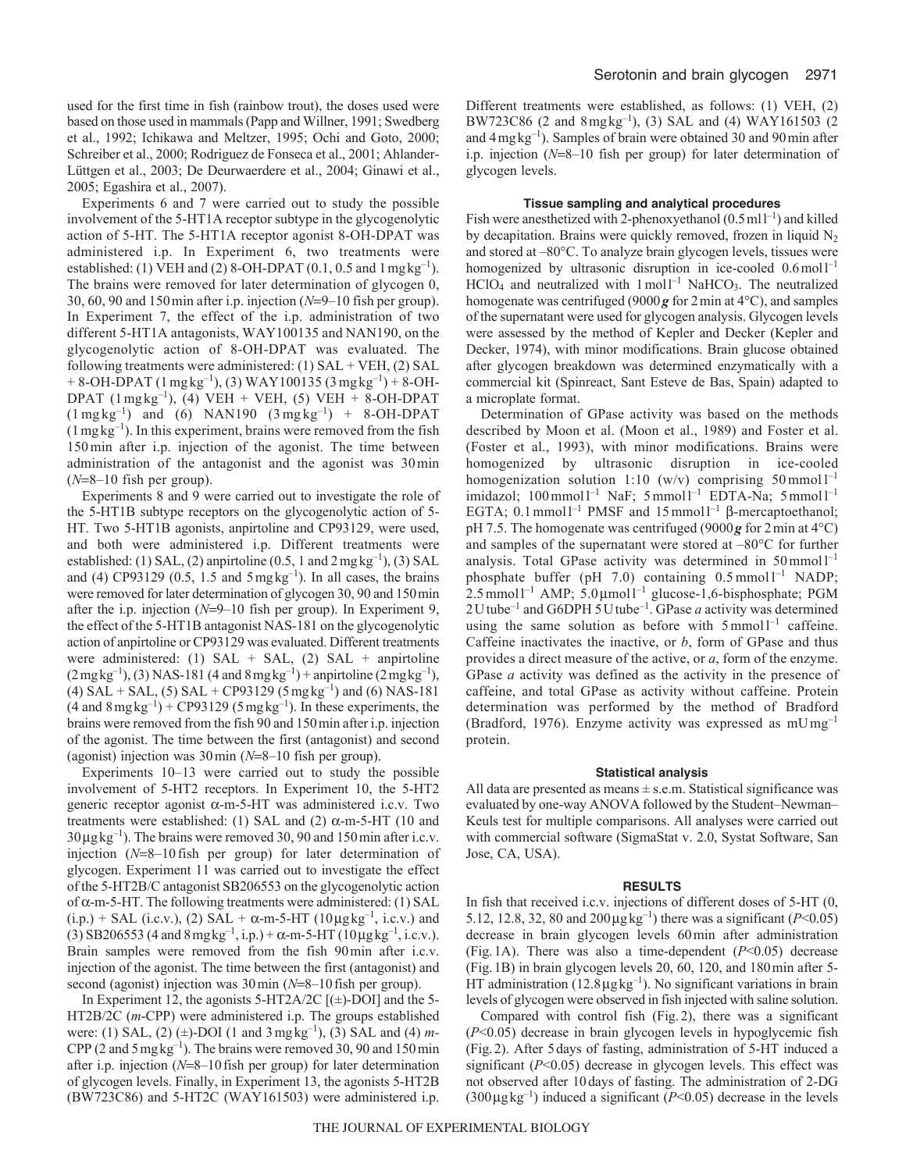used for the first time in fish (rainbow trout), the doses used were based on those used in mammals (Papp and Willner, 1991; Swedberg et al., 1992; Ichikawa and Meltzer, 1995; Ochi and Goto, 2000; Schreiber et al., 2000; Rodriguez de Fonseca et al., 2001; Ahlander-Lüttgen et al., 2003; De Deurwaerdere et al., 2004; Ginawi et al., 2005; Egashira et al., 2007).

Experiments 6 and 7 were carried out to study the possible involvement of the 5-HT1A receptor subtype in the glycogenolytic action of 5-HT. The 5-HT1A receptor agonist 8-OH-DPAT was administered i.p. In Experiment 6, two treatments were established: (1) VEH and (2) 8-OH-DPAT (0.1, 0.5 and  $1 \text{ mgkg}^{-1}$ ). The brains were removed for later determination of glycogen 0, 30, 60, 90 and 150 min after i.p. injection  $(N=9-10)$  fish per group). In Experiment 7, the effect of the i.p. administration of two different 5-HT1A antagonists, WAY100135 and NAN190, on the glycogenolytic action of 8-OH-DPAT was evaluated. The following treatments were administered: (1) SAL + VEH, (2) SAL + 8-OH-DPAT (1 mg kg<sup>-1</sup>), (3) WAY100135 (3 mg kg<sup>-1</sup>) + 8-OH-DPAT ( $1 \text{ mgkg}^{-1}$ ), (4) VEH + VEH, (5) VEH + 8-OH-DPAT  $(1 \text{ mg kg}^{-1})$  and  $(6)$  NAN190  $(3 \text{ mg kg}^{-1})$  + 8-OH-DPAT  $(1 \text{ mg kg}^{-1})$ . In this experiment, brains were removed from the fish 150min after i.p. injection of the agonist. The time between administration of the antagonist and the agonist was 30min  $(N=8-10$  fish per group).

Experiments 8 and 9 were carried out to investigate the role of the 5-HT1B subtype receptors on the glycogenolytic action of 5- HT. Two 5-HT1B agonists, anpirtoline and CP93129, were used, and both were administered i.p. Different treatments were established: (1) SAL, (2) anpirtoline (0.5, 1 and  $2 \text{ mgkg}^{-1}$ ), (3) SAL and (4) CP93129 (0.5, 1.5 and  $5 \text{ mgkg}^{-1}$ ). In all cases, the brains were removed for later determination of glycogen 30, 90 and 150min after the i.p. injection  $(N=9-10)$  fish per group). In Experiment 9, the effect of the 5-HT1B antagonist NAS-181 on the glycogenolytic action of anpirtoline or CP93129 was evaluated. Different treatments were administered: (1)  $SAL + SAL$ , (2)  $SAL + amplitude$  $(2 \text{ mgkg}^{-1})$ , (3) NAS-181 (4 and 8 mg kg<sup>-1</sup>) + anpirtoline (2 mg kg<sup>-1</sup>), (4) SAL + SAL, (5) SAL + CP93129 (5 mg kg<sup>-1</sup>) and (6) NAS-181  $(4 \text{ and } 8 \text{ mg kg}^{-1}) + \text{CP}93129 \text{ (5 mg kg}^{-1})$ . In these experiments, the brains were removed from the fish 90 and 150min after i.p. injection of the agonist. The time between the first (antagonist) and second (agonist) injection was  $30 \text{min}$  ( $N=8-10$  fish per group).

Experiments 10–13 were carried out to study the possible involvement of 5-HT2 receptors. In Experiment 10, the 5-HT2 generic receptor agonist  $\alpha$ -m-5-HT was administered i.c.v. Two treatments were established: (1) SAL and (2)  $\alpha$ -m-5-HT (10 and  $30 \mu g kg^{-1}$ ). The brains were removed 30, 90 and 150 min after i.c.v. injection  $(N=8-10$  fish per group) for later determination of glycogen. Experiment 11 was carried out to investigate the effect of the 5-HT2B/C antagonist SB206553 on the glycogenolytic action of  $\alpha$ -m-5-HT. The following treatments were administered: (1) SAL  $(i.p.) + SAL$  (i.e.v.), (2) SAL +  $\alpha$ -m-5-HT (10µg kg<sup>-1</sup>, i.e.v.) and (3) SB206553 (4 and  $8 \text{ mg}\,\text{kg}^{-1}$ , i.p.) +  $\alpha$ -m-5-HT (10 $\mu$ g $\text{kg}^{-1}$ , i.c.v.). Brain samples were removed from the fish 90min after i.c.v. injection of the agonist. The time between the first (antagonist) and second (agonist) injection was 30 min ( $N=8-10$  fish per group).

In Experiment 12, the agonists 5-HT2A/2C  $[(\pm)$ -DOI] and the 5-HT2B/2C (*m*-CPP) were administered i.p. The groups established were: (1) SAL, (2) (±)-DOI (1 and 3mgkg–1), (3) SAL and (4) *m-*CPP (2 and 5 mg  $kg^{-1}$ ). The brains were removed 30, 90 and 150 min after i.p. injection  $(N=8-10$  fish per group) for later determination of glycogen levels. Finally, in Experiment 13, the agonists 5-HT2B (BW723C86) and 5-HT2C (WAY161503) were administered i.p. Different treatments were established, as follows: (1) VEH, (2) BW723C86 (2 and  $8 \text{ mg}\text{ kg}^{-1}$ ), (3) SAL and (4) WAY161503 (2 and 4mgkg–1). Samples of brain were obtained 30 and 90min after i.p. injection  $(N=8-10$  fish per group) for later determination of glycogen levels.

#### **Tissue sampling and analytical procedures**

Fish were anesthetized with 2-phenoxyethanol  $(0.5 \text{ ml} 1^{-1})$  and killed by decapitation. Brains were quickly removed, frozen in liquid N<sub>2</sub> and stored at –80°C. To analyze brain glycogen levels, tissues were homogenized by ultrasonic disruption in ice-cooled  $0.6 \text{ mol}^{-1}$  $HCIO<sub>4</sub>$  and neutralized with  $1 \text{ mol}^{-1}$  NaHCO<sub>3</sub>. The neutralized homogenate was centrifuged (9000*g* for 2min at 4°C), and samples of the supernatant were used for glycogen analysis. Glycogen levels were assessed by the method of Kepler and Decker (Kepler and Decker, 1974), with minor modifications. Brain glucose obtained after glycogen breakdown was determined enzymatically with a commercial kit (Spinreact, Sant Esteve de Bas, Spain) adapted to a microplate format.

Determination of GPase activity was based on the methods described by Moon et al. (Moon et al., 1989) and Foster et al. (Foster et al., 1993), with minor modifications. Brains were homogenized by ultrasonic disruption in ice-cooled homogenization solution 1:10 (w/v) comprising  $50 \text{ mmol } l^{-1}$ imidazol;  $100 \text{ mmol}^{-1}$  NaF;  $5 \text{ mmol}^{-1}$  EDTA-Na;  $5 \text{ mmol}^{-1}$ EGTA; 0.1 mmol<sup>1-1</sup> PMSF and  $15$  mmol<sup>1-1</sup>  $\beta$ -mercaptoethanol; pH 7.5. The homogenate was centrifuged (9000*g* for 2min at 4°C) and samples of the supernatant were stored at –80°C for further analysis. Total GPase activity was determined in  $50$  mmoll<sup>-1</sup> phosphate buffer (pH 7.0) containing  $0.5 \text{ mmol}^{-1}$  NADP;  $2.5$  mmol<sup>1-1</sup> AMP;  $5.0 \mu$ mol<sup>1-1</sup> glucose-1,6-bisphosphate; PGM 2Utube–1 and G6DPH 5Utube–1. GPase *a* activity was determined using the same solution as before with  $5 \text{ mmol}^{-1}$  caffeine. Caffeine inactivates the inactive, or *b*, form of GPase and thus provides a direct measure of the active, or *a*, form of the enzyme. GPase *a* activity was defined as the activity in the presence of caffeine, and total GPase as activity without caffeine. Protein determination was performed by the method of Bradford (Bradford, 1976). Enzyme activity was expressed as mUmg–1 protein.

#### **Statistical analysis**

All data are presented as means  $\pm$  s.e.m. Statistical significance was evaluated by one-way ANOVA followed by the Student–Newman– Keuls test for multiple comparisons. All analyses were carried out with commercial software (SigmaStat v. 2.0, Systat Software, San Jose, CA, USA).

#### **RESULTS**

In fish that received i.c.v. injections of different doses of 5-HT (0, 5.12, 12.8, 32, 80 and  $200 \mu g kg^{-1}$ ) there was a significant (*P*<0.05) decrease in brain glycogen levels 60min after administration (Fig.1A). There was also a time-dependent (*P*<0.05) decrease (Fig.1B) in brain glycogen levels 20, 60, 120, and 180min after 5- HT administration (12.8  $\mu$ g kg<sup>-1</sup>). No significant variations in brain levels of glycogen were observed in fish injected with saline solution.

Compared with control fish (Fig.2), there was a significant (*P*<0.05) decrease in brain glycogen levels in hypoglycemic fish (Fig.2). After 5days of fasting, administration of 5-HT induced a significant (*P*<0.05) decrease in glycogen levels. This effect was not observed after 10days of fasting. The administration of 2-DG  $(300 \mu g kg^{-1})$  induced a significant ( $P<0.05$ ) decrease in the levels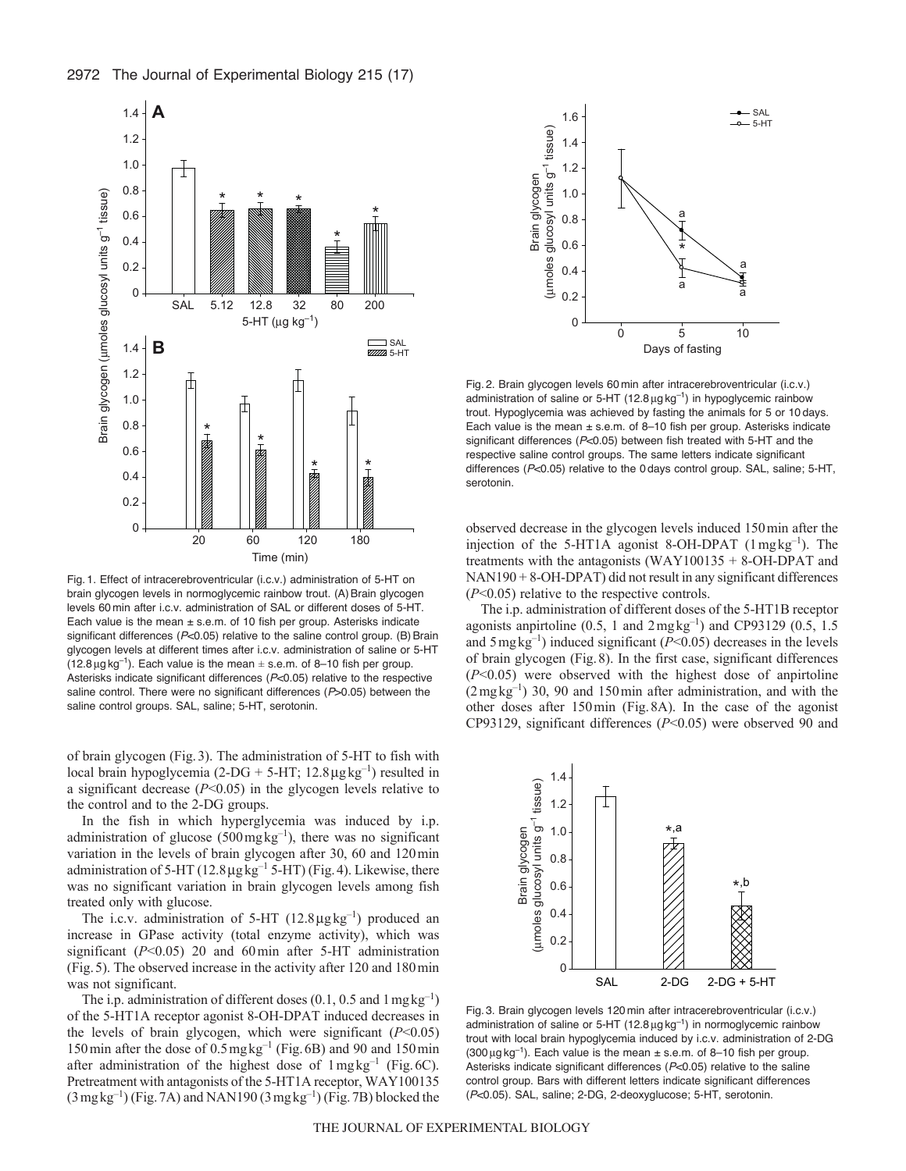

Fig. 1. Effect of intracerebroventricular (i.c.v.) administration of 5-HT on brain glycogen levels in normoglycemic rainbow trout. (A) Brain glycogen levels 60 min after i.c.v. administration of SAL or different doses of 5-HT. Each value is the mean  $\pm$  s.e.m. of 10 fish per group. Asterisks indicate significant differences (P<0.05) relative to the saline control group. (B) Brain glycogen levels at different times after i.c.v. administration of saline or 5-HT  $(12.8 \,\mu g \,\text{kg}^{-1})$ . Each value is the mean  $\pm$  s.e.m. of 8–10 fish per group. Asterisks indicate significant differences (*P*<0.05) relative to the respective saline control. There were no significant differences (*P*>0.05) between the saline control groups. SAL, saline; 5-HT, serotonin.

of brain glycogen (Fig.3). The administration of 5-HT to fish with local brain hypoglycemia (2-DG + 5-HT;  $12.8 \mu$ gkg<sup>-1</sup>) resulted in a significant decrease  $(P<0.05)$  in the glycogen levels relative to the control and to the 2-DG groups.

In the fish in which hyperglycemia was induced by i.p. administration of glucose  $(500 \,\text{mg}\,\text{kg}^{-1})$ , there was no significant variation in the levels of brain glycogen after 30, 60 and 120min administration of 5-HT (12.8  $\mu$ g kg<sup>-1</sup> 5-HT) (Fig. 4). Likewise, there was no significant variation in brain glycogen levels among fish treated only with glucose.

The i.c.v. administration of 5-HT  $(12.8 \mu g kg^{-1})$  produced an increase in GPase activity (total enzyme activity), which was significant (*P*<0.05) 20 and 60min after 5-HT administration (Fig.5). The observed increase in the activity after 120 and 180min was not significant.

The i.p. administration of different doses  $(0.1, 0.5 \text{ and } 1 \text{ mg kg}^{-1})$ of the 5-HT1A receptor agonist 8-OH-DPAT induced decreases in the levels of brain glycogen, which were significant  $(P<0.05)$ 150min after the dose of 0.5mgkg–1 (Fig.6B) and 90 and 150min after administration of the highest dose of  $1 \text{ mgkg}^{-1}$  (Fig. 6C). Pretreatment with antagonists of the 5-HT1A receptor, WAY100135  $(3 \text{ mgkg}^{-1})$  (Fig. 7A) and NAN190  $(3 \text{ mgkg}^{-1})$  (Fig. 7B) blocked the



Fig. 2. Brain glycogen levels 60 min after intracerebroventricular (i.c.v.) administration of saline or 5-HT ( $12.8 \mu$ g kg<sup>-1</sup>) in hypoglycemic rainbow trout. Hypoglycemia was achieved by fasting the animals for 5 or 10 days. Each value is the mean ± s.e.m. of 8–10 fish per group. Asterisks indicate significant differences (*P*<0.05) between fish treated with 5-HT and the respective saline control groups. The same letters indicate significant differences (*P*<0.05) relative to the 0 days control group. SAL, saline; 5-HT, serotonin.

observed decrease in the glycogen levels induced 150min after the injection of the 5-HT1A agonist 8-OH-DPAT  $(1 \text{ mgkg}^{-1})$ . The treatments with the antagonists (WAY100135  $+$  8-OH-DPAT and NAN190 + 8-OH-DPAT) did not result in any significant differences (*P*<0.05) relative to the respective controls.

The i.p. administration of different doses of the 5-HT1B receptor agonists anpirtoline  $(0.5, 1 \text{ and } 2 \text{ mgkg}^{-1})$  and CP93129  $(0.5, 1.5 \text{ m})$ and  $5 \text{ mg}\text{ kg}^{-1}$ ) induced significant ( $P < 0.05$ ) decreases in the levels of brain glycogen (Fig.8). In the first case, significant differences (*P*<0.05) were observed with the highest dose of anpirtoline  $(2 \text{ mgkg}^{-1})$  30, 90 and 150 min after administration, and with the other doses after 150min (Fig.8A). In the case of the agonist CP93129, significant differences (*P*<0.05) were observed 90 and



Fig. 3. Brain glycogen levels 120 min after intracerebroventricular (i.c.v.) administration of saline or 5-HT ( $12.8 \mu$ g kg<sup>-1</sup>) in normoglycemic rainbow trout with local brain hypoglycemia induced by i.c.v. administration of 2-DG  $(300 \,\mu g \,\text{kg}^{-1})$ . Each value is the mean  $\pm$  s.e.m. of 8–10 fish per group. Asterisks indicate significant differences (*P*<0.05) relative to the saline control group. Bars with different letters indicate significant differences (*P*<0.05). SAL, saline; 2-DG, 2-deoxyglucose; 5-HT, serotonin.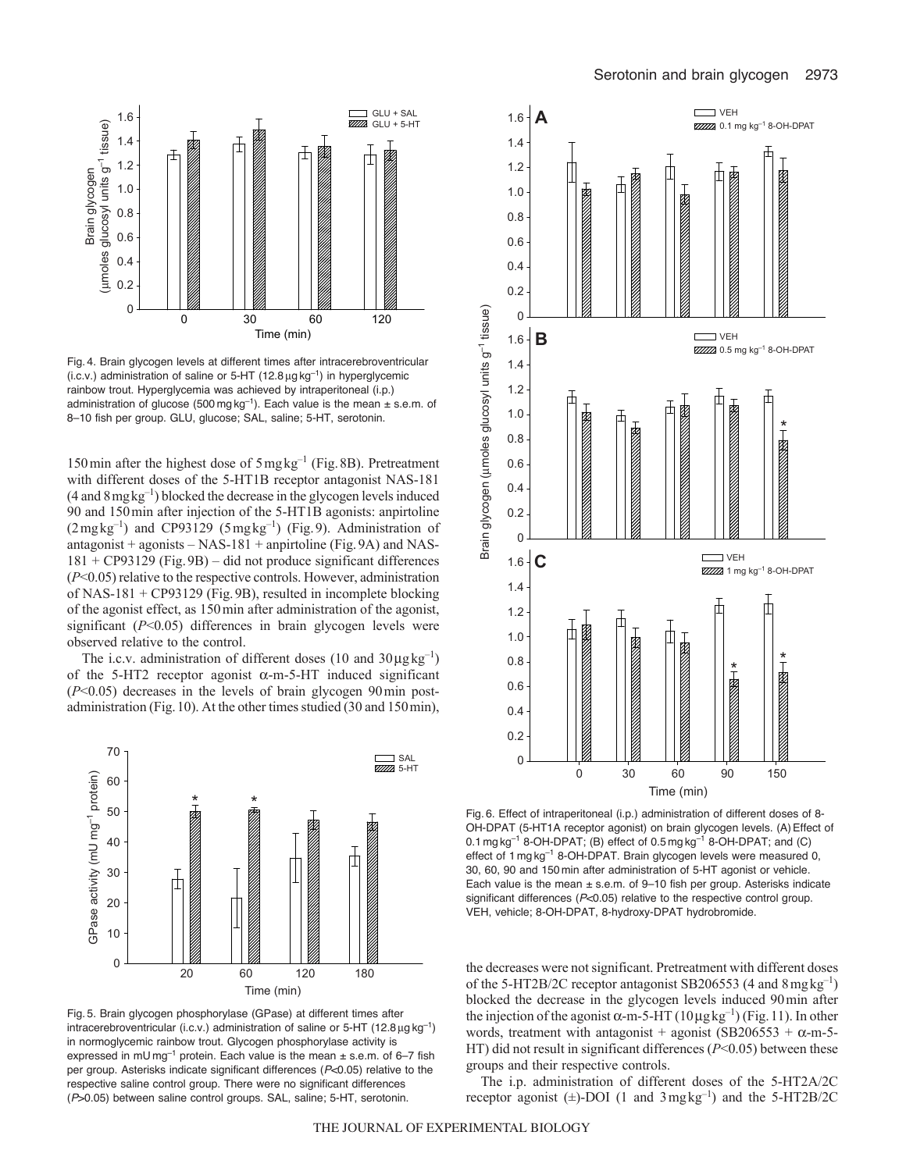

Fig. 4. Brain glycogen levels at different times after intracerebroventricular (i.c.v.) administration of saline or 5-HT (12.8  $\mu$ g kg<sup>-1</sup>) in hyperglycemic rainbow trout. Hyperglycemia was achieved by intraperitoneal (i.p.) administration of glucose (500 mg  $kg^{-1}$ ). Each value is the mean  $\pm$  s.e.m. of 8–10 fish per group. GLU, glucose; SAL, saline; 5-HT, serotonin.

150min after the highest dose of 5mgkg–1 (Fig.8B). Pretreatment with different doses of the 5-HT1B receptor antagonist NAS-181  $(4 \text{ and } 8 \text{ mgkg}^{-1})$  blocked the decrease in the glycogen levels induced 90 and 150min after injection of the 5-HT1B agonists: anpirtoline  $(2 \text{mgkg}^{-1})$  and CP93129 (5 $\text{mgkg}^{-1}$ ) (Fig.9). Administration of antagonist + agonists – NAS-181 + anpirtoline (Fig. 9A) and NAS-181 + CP93129 (Fig.9B) – did not produce significant differences (*P*<0.05) relative to the respective controls. However, administration of NAS-181 + CP93129 (Fig.9B), resulted in incomplete blocking of the agonist effect, as 150min after administration of the agonist, significant (*P*<0.05) differences in brain glycogen levels were observed relative to the control.

The i.c.v. administration of different doses (10 and  $30\mu\text{g}\text{kg}^{-1}$ ) of the 5-HT2 receptor agonist  $\alpha$ -m-5-HT induced significant (*P*<0.05) decreases in the levels of brain glycogen 90min postadministration (Fig.10). At the other times studied (30 and 150min),



Fig. 5. Brain glycogen phosphorylase (GPase) at different times after intracerebroventricular (i.c.v.) administration of saline or  $5-HT$  (12.8  $\mu$ g kg<sup>-1</sup>) in normoglycemic rainbow trout. Glycogen phosphorylase activity is expressed in mU mg<sup>-1</sup> protein. Each value is the mean  $\pm$  s.e.m. of 6-7 fish per group. Asterisks indicate significant differences (*P*<0.05) relative to the respective saline control group. There were no significant differences (*P*>0.05) between saline control groups. SAL, saline; 5-HT, serotonin.



OH-DPAT (5-HT1A receptor agonist) on brain glycogen levels. (A) Effect of 0.1 mg kg<sup>-1</sup> 8-OH-DPAT; (B) effect of 0.5 mg kg<sup>-1</sup> 8-OH-DPAT; and (C) effect of 1 mg kg<sup>-1</sup> 8-OH-DPAT. Brain glycogen levels were measured 0, 30, 60, 90 and 150 min after administration of 5-HT agonist or vehicle. Each value is the mean  $\pm$  s.e.m. of 9-10 fish per group. Asterisks indicate significant differences ( $P<0.05$ ) relative to the respective control group. VEH, vehicle; 8-OH-DPAT, 8-hydroxy-DPAT hydrobromide.

the decreases were not significant. Pretreatment with different doses of the 5-HT2B/2C receptor antagonist SB206553 (4 and  $8 \text{ mg}\text{ kg}^{-1}$ ) blocked the decrease in the glycogen levels induced 90min after the injection of the agonist  $\alpha$ -m-5-HT (10µgkg<sup>-1</sup>) (Fig. 11). In other words, treatment with antagonist + agonist (SB206553 +  $\alpha$ -m-5-HT) did not result in significant differences (*P*<0.05) between these groups and their respective controls.

The i.p. administration of different doses of the 5-HT2A/2C receptor agonist  $(\pm)$ -DOI (1 and 3mgkg<sup>-1</sup>) and the 5-HT2B/2C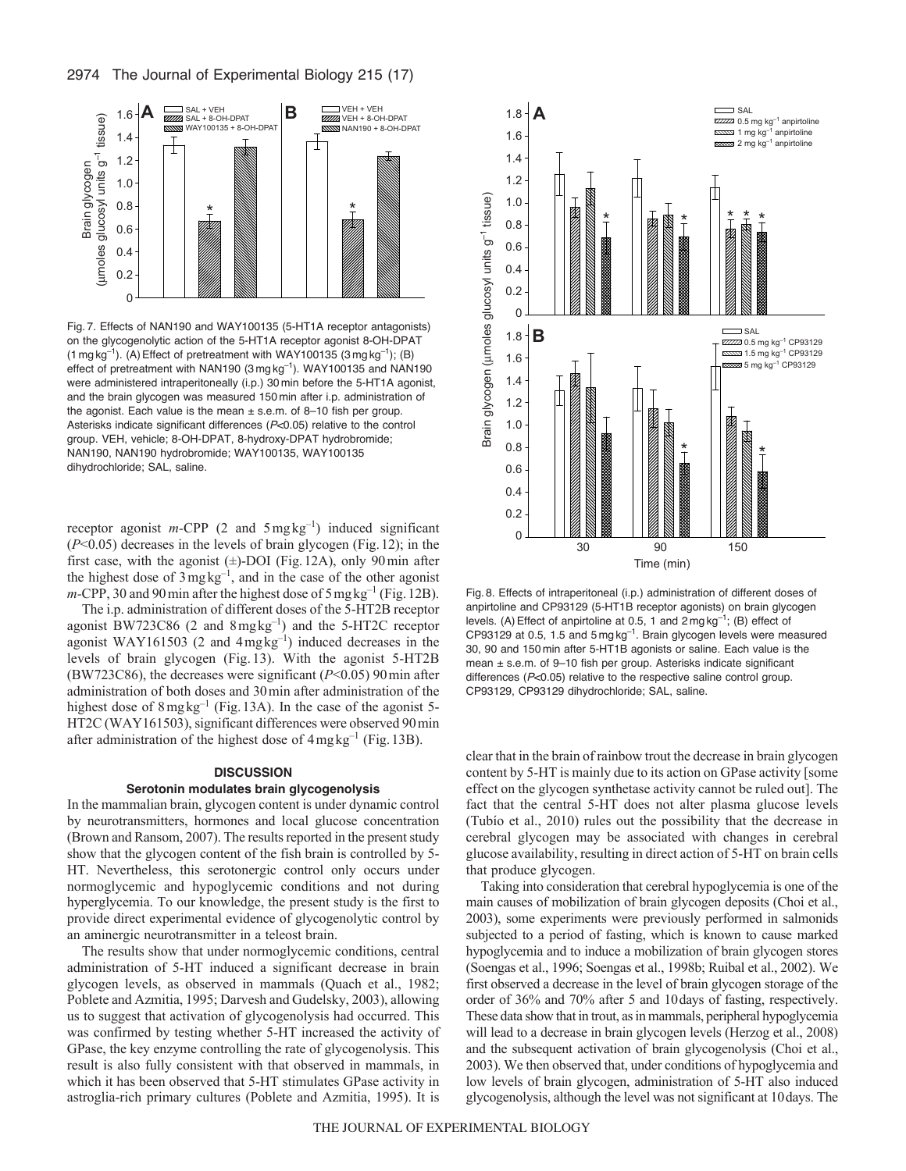

Fig. 7. Effects of NAN190 and WAY100135 (5-HT1A receptor antagonists) on the glycogenolytic action of the 5-HT1A receptor agonist 8-OH-DPAT  $(1 \text{ mg kg}^{-1})$ . (A) Effect of pretreatment with WAY100135  $(3 \text{ mg kg}^{-1})$ ; (B) effect of pretreatment with NAN190  $(3 \text{ mg kg}^{-1})$ . WAY100135 and NAN190 were administered intraperitoneally (i.p.) 30 min before the 5-HT1A agonist, and the brain glycogen was measured 150 min after i.p. administration of the agonist. Each value is the mean  $\pm$  s.e.m. of 8-10 fish per group. Asterisks indicate significant differences (*P*<0.05) relative to the control group. VEH, vehicle; 8-OH-DPAT, 8-hydroxy-DPAT hydrobromide; NAN190, NAN190 hydrobromide; WAY100135, WAY100135 dihydrochloride; SAL, saline.

receptor agonist *m*-CPP (2 and 5mgkg<sup>-1</sup>) induced significant (*P*<0.05) decreases in the levels of brain glycogen (Fig.12); in the first case, with the agonist  $(\pm)$ -DOI (Fig. 12A), only 90 min after the highest dose of 3mgkg–1, and in the case of the other agonist  $m$ -CPP, 30 and 90 min after the highest dose of 5 mg kg<sup>-1</sup> (Fig. 12B).

The i.p. administration of different doses of the 5-HT2B receptor agonist BW723C86 (2 and 8mgkg–1) and the 5-HT2C receptor agonist WAY161503 (2 and  $4 \text{ mgkg}^{-1}$ ) induced decreases in the levels of brain glycogen (Fig. 13). With the agonist 5-HT2B (BW723C86), the decreases were significant (*P*<0.05) 90min after administration of both doses and 30min after administration of the highest dose of  $8 \text{ mg} \text{ kg}^{-1}$  (Fig. 13A). In the case of the agonist 5-HT2C (WAY161503), significant differences were observed 90min after administration of the highest dose of  $4 \text{ mg}\text{ kg}^{-1}$  (Fig. 13B).

#### **DISCUSSION**

#### **Serotonin modulates brain glycogenolysis**

In the mammalian brain, glycogen content is under dynamic control by neurotransmitters, hormones and local glucose concentration (Brown and Ransom, 2007). The results reported in the present study show that the glycogen content of the fish brain is controlled by 5- HT. Nevertheless, this serotonergic control only occurs under normoglycemic and hypoglycemic conditions and not during hyperglycemia. To our knowledge, the present study is the first to provide direct experimental evidence of glycogenolytic control by an aminergic neurotransmitter in a teleost brain.

The results show that under normoglycemic conditions, central administration of 5-HT induced a significant decrease in brain glycogen levels, as observed in mammals (Quach et al., 1982; Poblete and Azmitia, 1995; Darvesh and Gudelsky, 2003), allowing us to suggest that activation of glycogenolysis had occurred. This was confirmed by testing whether 5-HT increased the activity of GPase, the key enzyme controlling the rate of glycogenolysis. This result is also fully consistent with that observed in mammals, in which it has been observed that 5-HT stimulates GPase activity in astroglia-rich primary cultures (Poblete and Azmitia, 1995). It is



Fig. 8. Effects of intraperitoneal (i.p.) administration of different doses of anpirtoline and CP93129 (5-HT1B receptor agonists) on brain glycogen levels. (A) Effect of anpirtoline at 0.5, 1 and  $2 \text{ mg kg}^{-1}$ ; (B) effect of CP93129 at 0.5, 1.5 and 5 mg kg–1. Brain glycogen levels were measured 30, 90 and 150 min after 5-HT1B agonists or saline. Each value is the mean ± s.e.m. of 9–10 fish per group. Asterisks indicate significant differences (*P*<0.05) relative to the respective saline control group. CP93129, CP93129 dihydrochloride; SAL, saline.

clear that in the brain of rainbow trout the decrease in brain glycogen content by 5-HT is mainly due to its action on GPase activity [some effect on the glycogen synthetase activity cannot be ruled out]. The fact that the central 5-HT does not alter plasma glucose levels (Tubío et al., 2010) rules out the possibility that the decrease in cerebral glycogen may be associated with changes in cerebral glucose availability, resulting in direct action of 5-HT on brain cells that produce glycogen.

Taking into consideration that cerebral hypoglycemia is one of the main causes of mobilization of brain glycogen deposits (Choi et al., 2003), some experiments were previously performed in salmonids subjected to a period of fasting, which is known to cause marked hypoglycemia and to induce a mobilization of brain glycogen stores (Soengas et al., 1996; Soengas et al., 1998b; Ruibal et al., 2002). We first observed a decrease in the level of brain glycogen storage of the order of 36% and 70% after 5 and 10days of fasting, respectively. These data show that in trout, as in mammals, peripheral hypoglycemia will lead to a decrease in brain glycogen levels (Herzog et al., 2008) and the subsequent activation of brain glycogenolysis (Choi et al., 2003). We then observed that, under conditions of hypoglycemia and low levels of brain glycogen, administration of 5-HT also induced glycogenolysis, although the level was not significant at 10days. The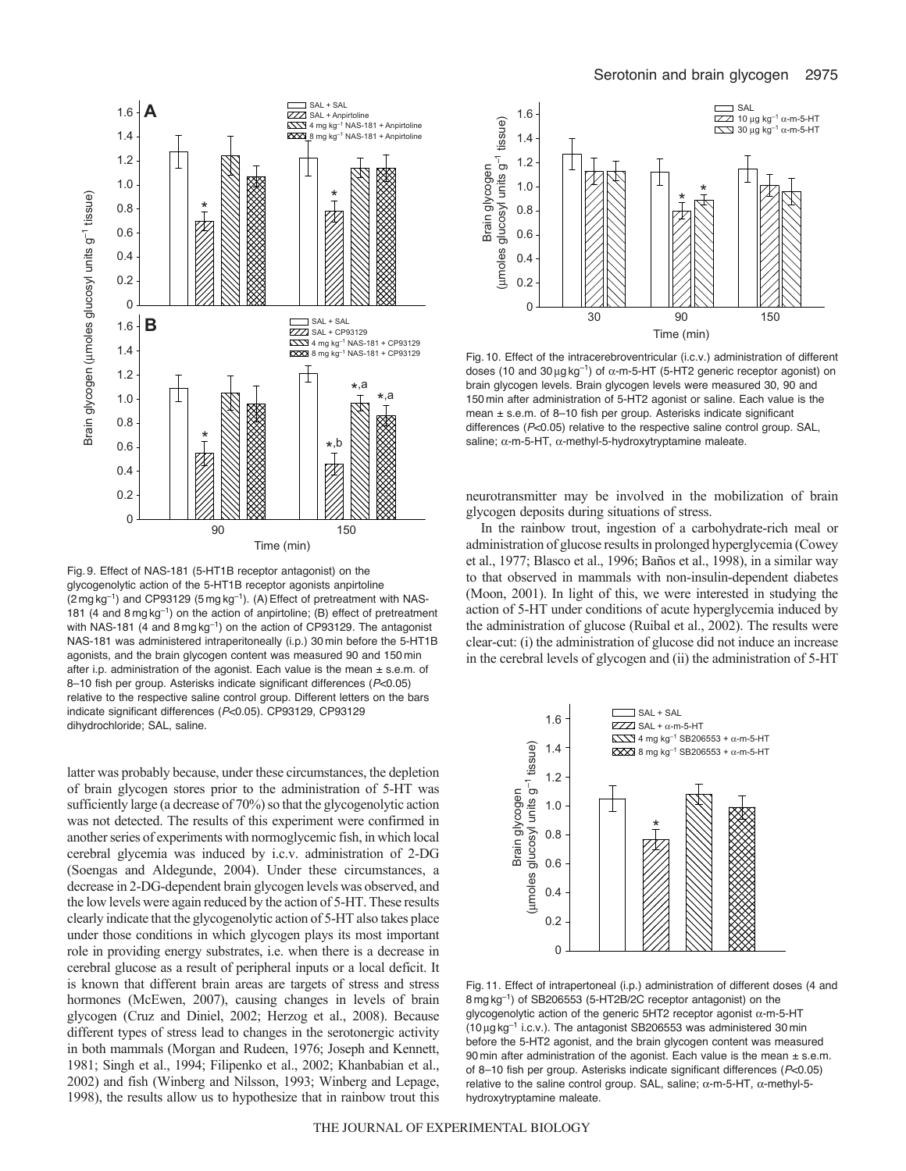

Fig. 9. Effect of NAS-181 (5-HT1B receptor antagonist) on the glycogenolytic action of the 5-HT1B receptor agonists anpirtoline  $(2 \text{ mg kg}^{-1})$  and CP93129  $(5 \text{ mg kg}^{-1})$ . (A) Effect of pretreatment with NAS-181 (4 and 8 mg kg<sup>-1</sup>) on the action of anpirtoline; (B) effect of pretreatment with NAS-181 (4 and  $8 \text{ mg kg}^{-1}$ ) on the action of CP93129. The antagonist NAS-181 was administered intraperitoneally (i.p.) 30 min before the 5-HT1B agonists, and the brain glycogen content was measured 90 and 150 min after i.p. administration of the agonist. Each value is the mean  $\pm$  s.e.m. of 8–10 fish per group. Asterisks indicate significant differences (*P*<0.05) relative to the respective saline control group. Different letters on the bars indicate significant differences (*P*<0.05). CP93129, CP93129 dihydrochloride; SAL, saline.

latter was probably because, under these circumstances, the depletion of brain glycogen stores prior to the administration of 5-HT was sufficiently large (a decrease of 70%) so that the glycogenolytic action was not detected. The results of this experiment were confirmed in another series of experiments with normoglycemic fish, in which local cerebral glycemia was induced by i.c.v. administration of 2-DG (Soengas and Aldegunde, 2004). Under these circumstances, a decrease in 2-DG-dependent brain glycogen levels was observed, and the low levels were again reduced by the action of 5-HT. These results clearly indicate that the glycogenolytic action of 5-HT also takes place under those conditions in which glycogen plays its most important role in providing energy substrates, i.e. when there is a decrease in cerebral glucose as a result of peripheral inputs or a local deficit. It is known that different brain areas are targets of stress and stress hormones (McEwen, 2007), causing changes in levels of brain glycogen (Cruz and Diniel, 2002; Herzog et al., 2008). Because different types of stress lead to changes in the serotonergic activity in both mammals (Morgan and Rudeen, 1976; Joseph and Kennett, 1981; Singh et al., 1994; Filipenko et al., 2002; Khanbabian et al., 2002) and fish (Winberg and Nilsson, 1993; Winberg and Lepage, 1998), the results allow us to hypothesize that in rainbow trout this



Fig. 10. Effect of the intracerebroventricular (i.c.v.) administration of different doses (10 and 30  $\mu$ g kg<sup>-1</sup>) of  $\alpha$ -m-5-HT (5-HT2 generic receptor agonist) on brain glycogen levels. Brain glycogen levels were measured 30, 90 and 150 min after administration of 5-HT2 agonist or saline. Each value is the mean ± s.e.m. of 8–10 fish per group. Asterisks indicate significant differences (*P*<0.05) relative to the respective saline control group. SAL, saline;  $\alpha$ -m-5-HT,  $\alpha$ -methyl-5-hydroxytryptamine maleate.

neurotransmitter may be involved in the mobilization of brain glycogen deposits during situations of stress.

In the rainbow trout, ingestion of a carbohydrate-rich meal or administration of glucose results in prolonged hyperglycemia (Cowey et al., 1977; Blasco et al., 1996; Baños et al., 1998), in a similar way to that observed in mammals with non-insulin-dependent diabetes (Moon, 2001). In light of this, we were interested in studying the action of 5-HT under conditions of acute hyperglycemia induced by the administration of glucose (Ruibal et al., 2002). The results were clear-cut: (i) the administration of glucose did not induce an increase in the cerebral levels of glycogen and (ii) the administration of 5-HT



Fig. 11. Effect of intrapertoneal (i.p.) administration of different doses (4 and 8 mg kg–1) of SB206553 (5-HT2B/2C receptor antagonist) on the glycogenolytic action of the generic 5HT2 receptor agonist  $\alpha$ -m-5-HT  $(10 \mu g kg^{-1}$  i.c.v.). The antagonist SB206553 was administered 30 min before the 5-HT2 agonist, and the brain glycogen content was measured 90 min after administration of the agonist. Each value is the mean  $\pm$  s.e.m. of 8–10 fish per group. Asterisks indicate significant differences (*P*<0.05) relative to the saline control group. SAL, saline;  $\alpha$ -m-5-HT,  $\alpha$ -methyl-5hydroxytryptamine maleate.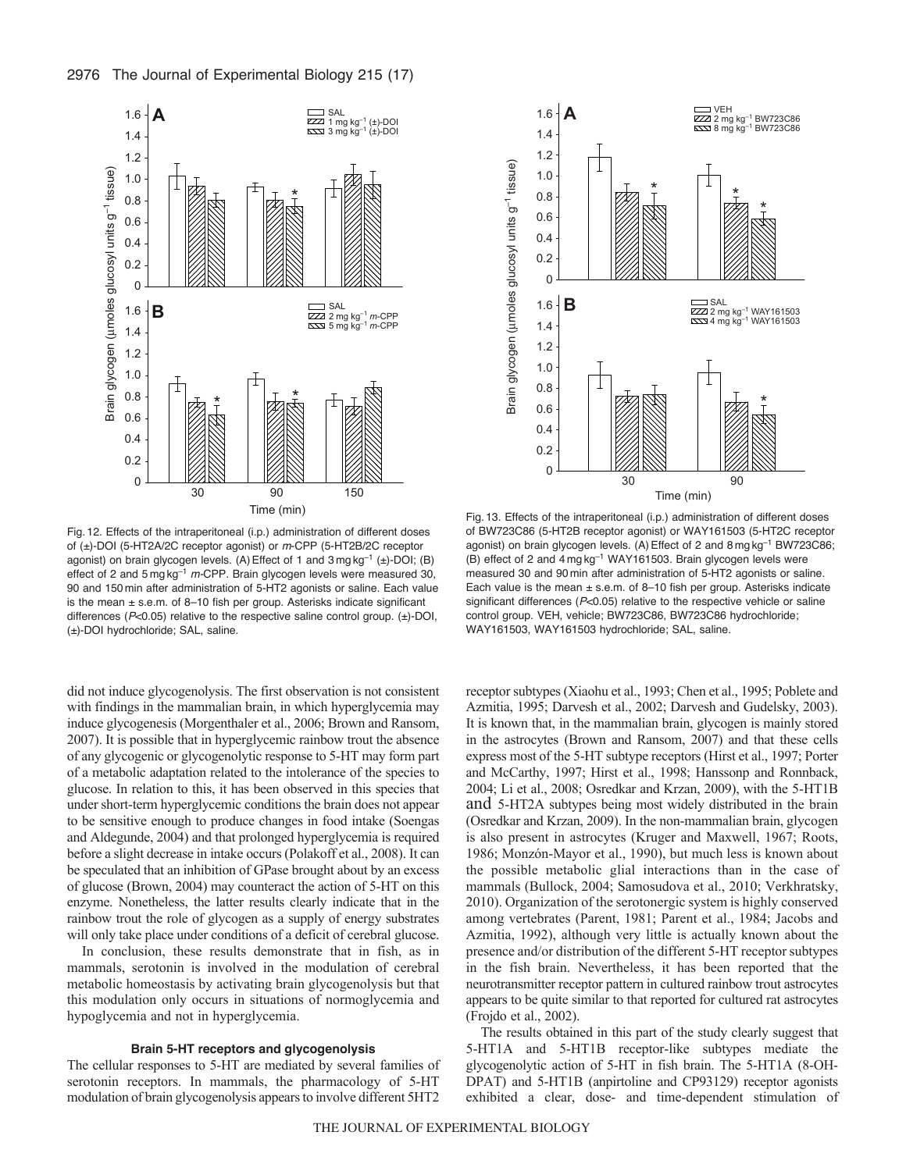



Fig. 12. Effects of the intraperitoneal (i.p.) administration of different doses of (±)-DOI (5-HT2A/2C receptor agonist) or *m*-CPP (5-HT2B/2C receptor agonist) on brain glycogen levels. (A) Effect of 1 and 3 mg kg<sup>-1</sup> (±)-DOI; (B) effect of 2 and 5 mg kg–1 *m-*CPP. Brain glycogen levels were measured 30, 90 and 150 min after administration of 5-HT2 agonists or saline. Each value is the mean  $\pm$  s.e.m. of 8-10 fish per group. Asterisks indicate significant differences (*P*<0.05) relative to the respective saline control group. (±)-DOI, (±)-DOI hydrochloride; SAL, saline.

did not induce glycogenolysis. The first observation is not consistent with findings in the mammalian brain, in which hyperglycemia may induce glycogenesis (Morgenthaler et al., 2006; Brown and Ransom, 2007). It is possible that in hyperglycemic rainbow trout the absence of any glycogenic or glycogenolytic response to 5-HT may form part of a metabolic adaptation related to the intolerance of the species to glucose. In relation to this, it has been observed in this species that under short-term hyperglycemic conditions the brain does not appear to be sensitive enough to produce changes in food intake (Soengas and Aldegunde, 2004) and that prolonged hyperglycemia is required before a slight decrease in intake occurs (Polakoff et al., 2008). It can be speculated that an inhibition of GPase brought about by an excess of glucose (Brown, 2004) may counteract the action of 5-HT on this enzyme. Nonetheless, the latter results clearly indicate that in the rainbow trout the role of glycogen as a supply of energy substrates will only take place under conditions of a deficit of cerebral glucose.

In conclusion, these results demonstrate that in fish, as in mammals, serotonin is involved in the modulation of cerebral metabolic homeostasis by activating brain glycogenolysis but that this modulation only occurs in situations of normoglycemia and hypoglycemia and not in hyperglycemia.

#### **Brain 5-HT receptors and glycogenolysis**

The cellular responses to 5-HT are mediated by several families of serotonin receptors. In mammals, the pharmacology of 5-HT modulation of brain glycogenolysis appears to involve different 5HT2



Fig. 13. Effects of the intraperitoneal (i.p.) administration of different doses of BW723C86 (5-HT2B receptor agonist) or WAY161503 (5-HT2C receptor agonist) on brain glycogen levels. (A) Effect of 2 and 8 mg kg<sup>-1</sup> BW723C86; (B) effect of 2 and 4 mg kg–1 WAY161503. Brain glycogen levels were measured 30 and 90 min after administration of 5-HT2 agonists or saline. Each value is the mean  $\pm$  s.e.m. of 8–10 fish per group. Asterisks indicate significant differences (*P*<0.05) relative to the respective vehicle or saline control group. VEH, vehicle; BW723C86, BW723C86 hydrochloride; WAY161503, WAY161503 hydrochloride; SAL, saline.

receptor subtypes (Xiaohu et al., 1993; Chen et al., 1995; Poblete and Azmitia, 1995; Darvesh et al., 2002; Darvesh and Gudelsky, 2003). It is known that, in the mammalian brain, glycogen is mainly stored in the astrocytes (Brown and Ransom, 2007) and that these cells express most of the 5-HT subtype receptors (Hirst et al., 1997; Porter and McCarthy, 1997; Hirst et al., 1998; Hanssonp and Ronnback, 2004; Li et al., 2008; Osredkar and Krzan, 2009), with the 5-HT1B and 5-HT2A subtypes being most widely distributed in the brain (Osredkar and Krzan, 2009). In the non-mammalian brain, glycogen is also present in astrocytes (Kruger and Maxwell, 1967; Roots, 1986; Monzón-Mayor et al., 1990), but much less is known about the possible metabolic glial interactions than in the case of mammals (Bullock, 2004; Samosudova et al., 2010; Verkhratsky, 2010). Organization of the serotonergic system is highly conserved among vertebrates (Parent, 1981; Parent et al., 1984; Jacobs and Azmitia, 1992), although very little is actually known about the presence and/or distribution of the different 5-HT receptor subtypes in the fish brain. Nevertheless, it has been reported that the neurotransmitter receptor pattern in cultured rainbow trout astrocytes appears to be quite similar to that reported for cultured rat astrocytes (Frojdo et al., 2002).

The results obtained in this part of the study clearly suggest that 5-HT1A and 5-HT1B receptor-like subtypes mediate the glycogenolytic action of 5-HT in fish brain. The 5-HT1A (8-OH-DPAT) and 5-HT1B (anpirtoline and CP93129) receptor agonists exhibited a clear, dose- and time-dependent stimulation of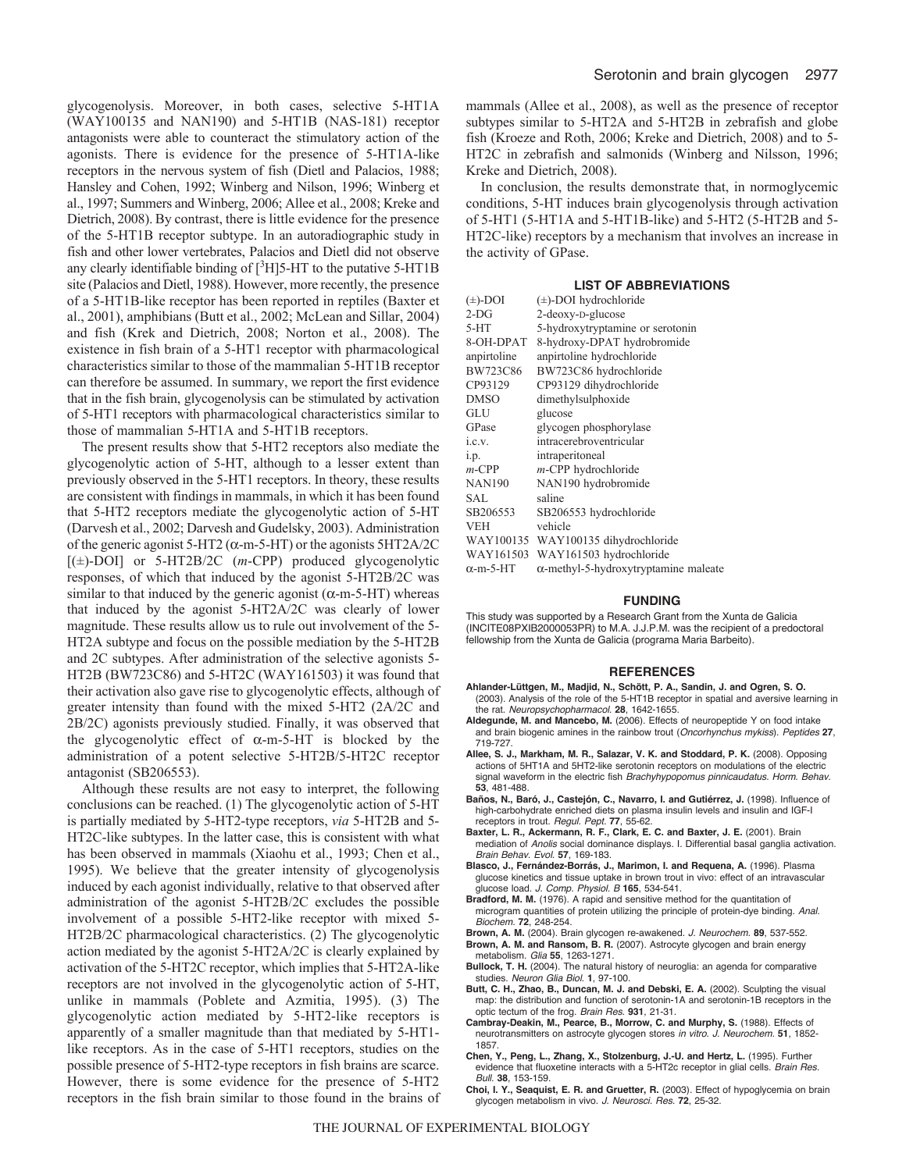glycogenolysis. Moreover, in both cases, selective 5-HT1A (WAY100135 and NAN190) and 5-HT1B (NAS-181) receptor antagonists were able to counteract the stimulatory action of the agonists. There is evidence for the presence of 5-HT1A-like receptors in the nervous system of fish (Dietl and Palacios, 1988; Hansley and Cohen, 1992; Winberg and Nilson, 1996; Winberg et al., 1997; Summers and Winberg, 2006; Allee et al., 2008; Kreke and Dietrich, 2008). By contrast, there is little evidence for the presence of the 5-HT1B receptor subtype. In an autoradiographic study in fish and other lower vertebrates, Palacios and Dietl did not observe any clearly identifiable binding of  $\lceil \sqrt[3]{H} \rceil$ 5-HT to the putative 5-HT1B site (Palacios and Dietl, 1988). However, more recently, the presence of a 5-HT1B-like receptor has been reported in reptiles (Baxter et al., 2001), amphibians (Butt et al., 2002; McLean and Sillar, 2004) and fish (Krek and Dietrich, 2008; Norton et al., 2008). The existence in fish brain of a 5-HT1 receptor with pharmacological characteristics similar to those of the mammalian 5-HT1B receptor can therefore be assumed. In summary, we report the first evidence that in the fish brain, glycogenolysis can be stimulated by activation of 5-HT1 receptors with pharmacological characteristics similar to those of mammalian 5-HT1A and 5-HT1B receptors.

The present results show that 5-HT2 receptors also mediate the glycogenolytic action of 5-HT, although to a lesser extent than previously observed in the 5-HT1 receptors. In theory, these results are consistent with findings in mammals, in which it has been found that 5-HT2 receptors mediate the glycogenolytic action of 5-HT (Darvesh et al., 2002; Darvesh and Gudelsky, 2003). Administration of the generic agonist 5-HT2 ( $\alpha$ -m-5-HT) or the agonists 5HT2A/2C [(±)-DOI] or 5-HT2B/2C (*m*-CPP) produced glycogenolytic responses, of which that induced by the agonist 5-HT2B/2C was similar to that induced by the generic agonist ( $\alpha$ -m-5-HT) whereas that induced by the agonist 5-HT2A/2C was clearly of lower magnitude. These results allow us to rule out involvement of the 5- HT2A subtype and focus on the possible mediation by the 5-HT2B and 2C subtypes. After administration of the selective agonists 5- HT2B (BW723C86) and 5-HT2C (WAY161503) it was found that their activation also gave rise to glycogenolytic effects, although of greater intensity than found with the mixed 5-HT2 (2A/2C and 2B/2C) agonists previously studied. Finally, it was observed that the glycogenolytic effect of  $\alpha$ -m-5-HT is blocked by the administration of a potent selective 5-HT2B/5-HT2C receptor antagonist (SB206553).

Although these results are not easy to interpret, the following conclusions can be reached. (1) The glycogenolytic action of 5-HT is partially mediated by 5-HT2-type receptors, *via* 5-HT2B and 5- HT2C-like subtypes. In the latter case, this is consistent with what has been observed in mammals (Xiaohu et al., 1993; Chen et al., 1995). We believe that the greater intensity of glycogenolysis induced by each agonist individually, relative to that observed after administration of the agonist 5-HT2B/2C excludes the possible involvement of a possible 5-HT2-like receptor with mixed 5- HT2B/2C pharmacological characteristics. (2) The glycogenolytic action mediated by the agonist 5-HT2A/2C is clearly explained by activation of the 5-HT2C receptor, which implies that 5-HT2A-like receptors are not involved in the glycogenolytic action of 5-HT, unlike in mammals (Poblete and Azmitia, 1995). (3) The glycogenolytic action mediated by 5-HT2-like receptors is apparently of a smaller magnitude than that mediated by 5-HT1 like receptors. As in the case of 5-HT1 receptors, studies on the possible presence of 5-HT2-type receptors in fish brains are scarce. However, there is some evidence for the presence of 5-HT2 receptors in the fish brain similar to those found in the brains of mammals (Allee et al., 2008), as well as the presence of receptor subtypes similar to 5-HT2A and 5-HT2B in zebrafish and globe fish (Kroeze and Roth, 2006; Kreke and Dietrich, 2008) and to 5- HT2C in zebrafish and salmonids (Winberg and Nilsson, 1996; Kreke and Dietrich, 2008).

In conclusion, the results demonstrate that, in normoglycemic conditions, 5-HT induces brain glycogenolysis through activation of 5-HT1 (5-HT1A and 5-HT1B-like) and 5-HT2 (5-HT2B and 5- HT2C-like) receptors by a mechanism that involves an increase in the activity of GPase.

#### **LIST OF ABBREVIATIONS**

| $(\pm)$ -DOI     | $(\pm)$ -DOI hydrochloride                   |
|------------------|----------------------------------------------|
| $2-DG$           | 2-deoxy-D-glucose                            |
| $5-HT$           | 5-hydroxytryptamine or serotonin             |
| 8-OH-DPAT        | 8-hydroxy-DPAT hydrobromide                  |
| anpirtoline      | anpirtoline hydrochloride                    |
| BW723C86         | BW723C86 hydrochloride                       |
| CP93129          | CP93129 dihydrochloride                      |
| <b>DMSO</b>      | dimethylsulphoxide                           |
| GLU              | glucose                                      |
| GPase            | glycogen phosphorylase                       |
| i.e.v.           | intracerebroventricular                      |
| 1.p.             | intraperitoneal                              |
| $m$ -CPP         | m-CPP hydrochloride                          |
| <b>NAN190</b>    | NAN190 hydrobromide                          |
| SAL              | saline                                       |
| SB206553         | SB206553 hydrochloride                       |
| <b>VEH</b>       | vehicle                                      |
|                  | WAY100135 WAY100135 dihydrochloride          |
| WAY161503        | WAY161503 hydrochloride                      |
| $\alpha$ -m-5-HT | $\alpha$ -methyl-5-hydroxytryptamine maleate |

#### **FUNDING**

This study was supported by a Research Grant from the Xunta de Galicia (INCITE08PXIB2000053PR) to M.A. J.J.P.M. was the recipient of a predoctoral fellowship from the Xunta de Galicia (programa Maria Barbeito).

#### **REFERENCES**

- **Ahlander-Lüttgen, M., Madjid, N., Schött, P. A., Sandin, J. and Ogren, S. O.** (2003). Analysis of the role of the 5-HT1B receptor in spatial and aversive learning in the rat. *Neuropsychopharmacol.* **28**, 1642-1655.
- **Aldegunde, M. and Mancebo, M.** (2006). Effects of neuropeptide Y on food intake and brain biogenic amines in the rainbow trout (*Oncorhynchus mykiss*). *Peptides* **27**, 719-727.
- **Allee, S. J., Markham, M. R., Salazar, V. K. and Stoddard, P. K.** (2008). Opposing actions of 5HT1A and 5HT2-like serotonin receptors on modulations of the electric signal waveform in the electric fish *Brachyhypopomus pinnicaudatus*. *Horm. Behav.* **53**, 481-488.
- **Baños, N., Baró, J., Castejón, C., Navarro, I. and Gutiérrez, J.** (1998). Influence of high-carbohydrate enriched diets on plasma insulin levels and insulin and IGF-I receptors in trout*. Regul. Pept.* **77**, 55-62.
- **Baxter, L. R., Ackermann, R. F., Clark, E. C. and Baxter, J. E.** (2001). Brain mediation of *Anolis* social dominance displays. I. Differential basal ganglia activation. *Brain Behav. Evol.* **57**, 169-183.
- **Blasco, J., Fernández-Borrás, J., Marimon, I. and Requena, A.** (1996). Plasma glucose kinetics and tissue uptake in brown trout in vivo: effect of an intravascular glucose load. *J. Comp. Physiol. B* **165**, 534-541.
- **Bradford, M. M.** (1976). A rapid and sensitive method for the quantitation of microgram quantities of protein utilizing the principle of protein-dye binding. *Anal. Biochem.* **72**, 248-254.
- **Brown, A. M.** (2004). Brain glycogen re-awakened. *J. Neurochem.* **89**, 537-552. **Brown, A. M. and Ransom, B. R.** (2007). Astrocyte glycogen and brain energy
- metabolism. *Glia* **55**, 1263-1271.
- **Bullock, T. H.** (2004). The natural history of neuroglia: an agenda for comparative studies. *Neuron Glia Biol.* **1**, 97-100.
- **Butt, C. H., Zhao, B., Duncan, M. J. and Debski, E. A.** (2002). Sculpting the visual map: the distribution and function of serotonin-1A and serotonin-1B receptors in the optic tectum of the frog. *Brain Res.* **931**, 21-31.
- **Cambray-Deakin, M., Pearce, B., Morrow, C. and Murphy, S.** (1988). Effects of neurotransmitters on astrocyte glycogen stores *in vitro*. *J. Neurochem.* **51**, 1852- 1857.
- **Chen, Y., Peng, L., Zhang, X., Stolzenburg, J.-U. and Hertz, L.** (1995). Further evidence that fluoxetine interacts with a 5-HT2c receptor in glial cells. *Brain Res. Bull.* **38**, 153-159.
- **Choi, I. Y., Seaquist, E. R. and Gruetter, R.** (2003). Effect of hypoglycemia on brain glycogen metabolism in vivo. *J. Neurosci. Res.* **72**, 25-32.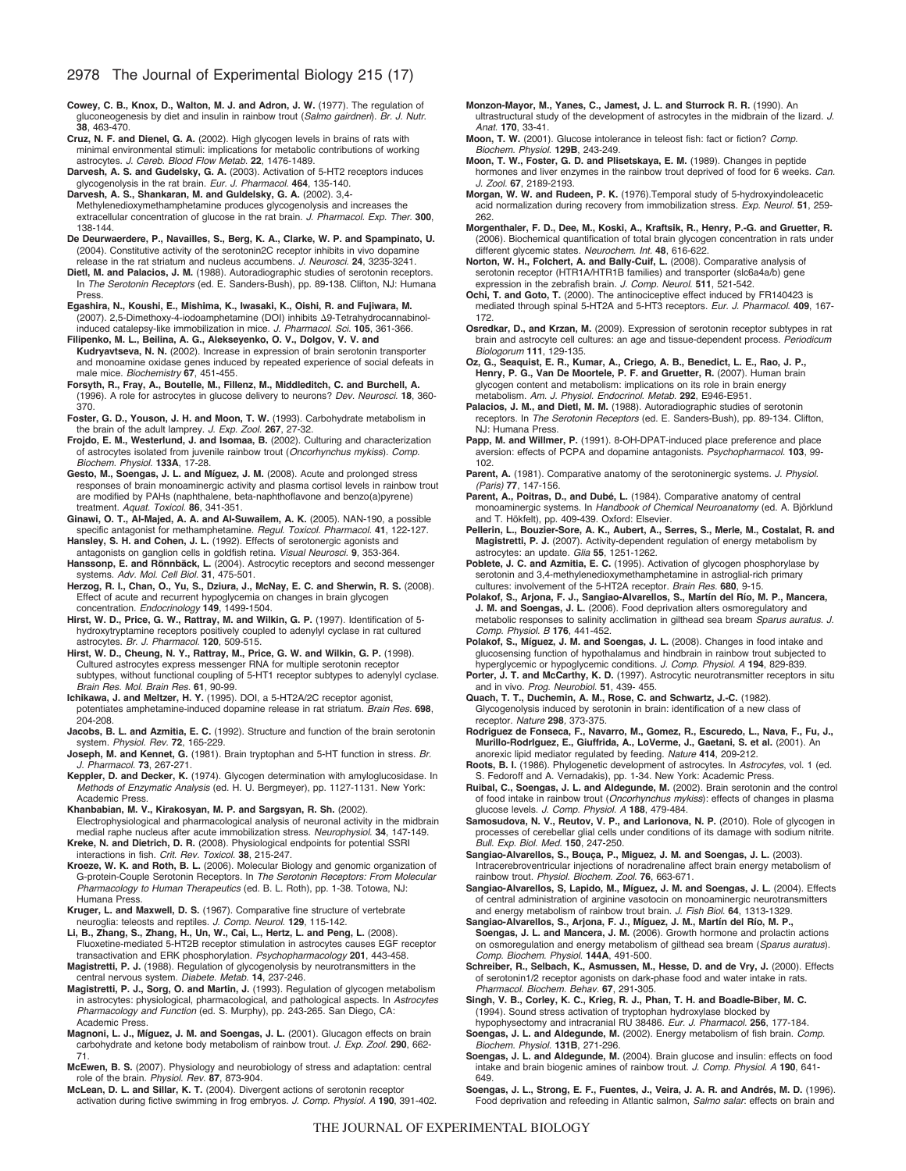**Cowey, C. B., Knox, D., Walton, M. J. and Adron, J. W.** (1977). The regulation of gluconeogenesis by diet and insulin in rainbow trout (*Salmo gairdneri*). *Br. J. Nutr*. **38**, 463-470.

**Cruz, N. F. and Dienel, G. A.** (2002). High glycogen levels in brains of rats with minimal environmental stimuli: implications for metabolic contributions of working astrocytes. *J. Cereb. Blood Flow Metab.* **22**, 1476-1489.

**Darvesh, A. S. and Gudelsky, G. A.** (2003). Activation of 5-HT2 receptors induces glycogenolysis in the rat brain. *Eur. J. Pharmacol.* **464**, 135-140.

- **Darvesh, A. S., Shankaran, M. and Guldelsky, G. A.** (2002). 3,4- Methylenedioxymethamphetamine produces glycogenolysis and increases the extracellular concentration of glucose in the rat brain. *J. Pharmacol. Exp. Ther.* **300**, 138-144.
- **De Deurwaerdere, P., Navailles, S., Berg, K. A., Clarke, W. P. and Spampinato, U.** (2004). Constitutive activity of the serotonin2C receptor inhibits in vivo dopamine release in the rat striatum and nucleus accumbens. *J. Neurosci.* **24**, 3235-3241.
- **Dietl, M. and Palacios, J. M.** (1988). Autoradiographic studies of serotonin receptors. In *The Serotonin Receptors* (ed. E. Sanders-Bush), pp. 89-138. Clifton, NJ: Humana Press.
- **Egashira, N., Koushi, E., Mishima, K., Iwasaki, K., Oishi, R. and Fujiwara, M.** (2007). 2,5-Dimethoxy-4-iodoamphetamine (DOI) inhibits Δ9-Tetrahydrocannabinolinduced catalepsy-like immobilization in mice. *J. Pharmacol. Sci.* **105**, 361-366.
- **Filipenko, M. L., Beilina, A. G., Alekseyenko, O. V., Dolgov, V. V. and Kudryavtseva, N. N.** (2002). Increase in expression of brain serotonin transporter and monoamine oxidase genes induced by repeated experience of social defeats in male mice. *Biochemistry* **67**, 451-455.
- **Forsyth, R., Fray, A., Boutelle, M., Fillenz, M., Middleditch, C. and Burchell, A.** (1996). A role for astrocytes in glucose delivery to neurons? *Dev. Neurosci.* **18**, 360- 370.
- **Foster, G. D., Youson, J. H. and Moon, T. W.** (1993). Carbohydrate metabolism in the brain of the adult lamprey. *J. Exp. Zool.* **267**, 27-32.
- **Frojdo, E. M., Westerlund, J. and Isomaa, B.** (2002). Culturing and characterization of astrocytes isolated from juvenile rainbow trout (*Oncorhynchus mykiss*). *Comp. Biochem. Physiol.* **133A**, 17-28.

**Gesto, M., Soengas, J. L. and Míguez, J. M.** (2008). Acute and prolonged stress responses of brain monoaminergic activity and plasma cortisol levels in rainbow trout are modified by PAHs (naphthalene, beta-naphthoflavone and benzo(a)pyrene) treatment. *Aquat. Toxicol.* **86**, 341-351.

**Ginawi, O. T., Al-Majed, A. A. and Al-Suwailem, A. K.** (2005). NAN-190, a possible specific antagonist for methamphetamine. *Regul. Toxicol. Pharmacol.* **41**, 122-127.

- **Hansley, S. H. and Cohen, J. L.** (1992). Effects of serotonergic agonists and antagonists on ganglion cells in goldfish retina. *Visual Neurosci.* **9**, 353-364.
- **Hanssonp, E. and Rönnbäck, L.** (2004). Astrocytic receptors and second messenger systems. *Adv. Mol. Cell Biol.* **31**, 475-501.
- **Herzog, R. I., Chan, O., Yu, S., Dziura, J., McNay, E. C. and Sherwin, R. S.** (2008). Effect of acute and recurrent hypoglycemia on changes in brain glycogen concentration. *Endocrinology* **149**, 1499-1504.
- **Hirst, W. D., Price, G. W., Rattray, M. and Wilkin, G. P.** (1997). Identification of 5 hydroxytryptamine receptors positively coupled to adenylyl cyclase in rat cultured astrocytes. *Br. J. Pharmacol.* **120**, 509-515.
- **Hirst, W. D., Cheung, N. Y., Rattray, M., Price, G. W. and Wilkin, G. P.** (1998). Cultured astrocytes express messenger RNA for multiple serotonin receptor subtypes, without functional coupling of 5-HT1 receptor subtypes to adenylyl cyclase. *Brain Res. Mol. Brain Res.* **61**, 90-99.
- **Ichikawa, J. and Meltzer, H. Y.** (1995). DOI, a 5-HT2A/2C receptor agonist, potentiates amphetamine-induced dopamine release in rat striatum. *Brain Res.* **698**, 204-208.
- **Jacobs, B. L. and Azmitia, E. C.** (1992). Structure and function of the brain serotonin system. *Physiol. Rev.* **72**, 165-229.
- **Joseph, M. and Kennet, G.** (1981). Brain tryptophan and 5-HT function in stress. *Br. J. Pharmacol.* **73**, 267-271.
- **Keppler, D. and Decker, K.** (1974). Glycogen determination with amyloglucosidase. In *Methods of Enzymatic Analysis* (ed. H. U. Bergmeyer), pp. 1127-1131. New York: Academic Press.

**Khanbabian, M. V., Kirakosyan, M. P. and Sargsyan, R. Sh.** (2002).

Electrophysiological and pharmacological analysis of neuronal activity in the midbrain medial raphe nucleus after acute immobilization stress. *Neurophysiol.* **34**, 147-149. **Kreke, N. and Dietrich, D. R.** (2008). Physiological endpoints for potential SSRI interactions in fish. *Crit. Rev. Toxicol.* **38**, 215-247.

**Kroeze, W. K. and Roth, B. L.** (2006). Molecular Biology and genomic organization of G-protein-Couple Serotonin Receptors. In *The Serotonin Receptors: From Molecular Pharmacology to Human Therapeutics* (ed. B. L. Roth), pp. 1-38. Totowa, NJ: Humana Press.

- **Kruger, L. and Maxwell, D. S.** (1967). Comparative fine structure of vertebrate neuroglia: teleosts and reptiles. *J. Comp. Neurol.* **129**, 115-142.
- **Li, B., Zhang, S., Zhang, H., Un, W., Cai, L., Hertz, L. and Peng, L.** (2008). Fluoxetine-mediated 5-HT2B receptor stimulation in astrocytes causes EGF receptor transactivation and ERK phosphorylation. *Psychopharmacology* **201**, 443-458.

**Magistretti, P. J.** (1988). Regulation of glycogenolysis by neurotransmitters in the central nervous system. *Diabete. Metab.* **14**, 237-246.

- **Magistretti, P. J., Sorg, O. and Martin, J.** (1993). Regulation of glycogen metabolism in astrocytes: physiological, pharmacological, and pathological aspects. In *Astrocytes Pharmacology and Function* (ed. S. Murphy), pp. 243-265. San Diego, CA: Academic Press.
- **Magnoni, L. J., Míguez, J. M. and Soengas, J. L.** (2001). Glucagon effects on brain carbohydrate and ketone body metabolism of rainbow trout. *J. Exp. Zool.* **290**, 662- 71.
- **McEwen, B. S.** (2007). Physiology and neurobiology of stress and adaptation: central role of the brain. *Physiol. Rev.* **87**, 873-904.
- **McLean, D. L. and Sillar, K. T.** (2004). Divergent actions of serotonin receptor activation during fictive swimming in frog embryos. *J. Comp. Physiol. A* **190**, 391-402.
- **Monzon-Mayor, M., Yanes, C., Jamest, J. L. and Sturrock R. R.** (1990). An ultrastructural study of the development of astrocytes in the midbrain of the lizard. *J. Anat.* **170**, 33-41.
- **Moon, T. W.** (2001). Glucose intolerance in teleost fish: fact or fiction? *Comp. Biochem. Physiol*. **129B**, 243-249.
- **Moon, T. W., Foster, G. D. and Plisetskaya, E. M.** (1989). Changes in peptide hormones and liver enzymes in the rainbow trout deprived of food for 6 weeks. *Can. J. Zool.* **67**, 2189-2193.
- **Morgan, W. W. and Rudeen, P. K.** (1976).Temporal study of 5-hydroxyindoleacetic acid normalization during recovery from immobilization stress. *Exp. Neurol.* **51**, 259- 262.
- **Morgenthaler, F. D., Dee, M., Koski, A., Kraftsik, R., Henry, P.-G. and Gruetter, R.** (2006). Biochemical quantification of total brain glycogen concentration in rats under different glycemic states. *Neurochem. Int.* **48**, 616-622.
- **Norton, W. H., Folchert, A. and Bally-Cuif, L.** (2008). Comparative analysis of serotonin receptor (HTR1A/HTR1B families) and transporter (slc6a4a/b) gene expression in the zebrafish brain. *J. Comp. Neurol.* **511**, 521-542.

**Ochi, T. and Goto, T.** (2000). The antinociceptive effect induced by FR140423 is mediated through spinal 5-HT2A and 5-HT3 receptors. *Eur. J. Pharmacol.* **409**, 167- 172.

**Osredkar, D., and Krzan, M.** (2009). Expression of serotonin receptor subtypes in rat brain and astrocyte cell cultures: an age and tissue-dependent process. *Periodicum Biologorum* **111**, 129-135.

**Oz, G., Seaquist, E. R., Kumar, A., Criego, A. B., Benedict, L. E., Rao, J. P., Henry, P. G., Van De Moortele, P. F. and Gruetter, R.** (2007). Human brain glycogen content and metabolism: implications on its role in brain energy metabolism. *Am. J. Physiol. Endocrinol. Metab.* **292**, E946-E951.

Palacios, J. M., and Dietl, M. M. (1988). Autoradiographic studies of serotonin receptors. In *The Serotonin Receptors* (ed. E. Sanders-Bush), pp. 89-134. Clifton, NJ: Humana Press.

Papp, M. and Willmer, P. (1991). 8-OH-DPAT-induced place preference and place aversion: effects of PCPA and dopamine antagonists. *Psychopharmacol.* **103**, 99- 102.

- **Parent, A.** (1981). Comparative anatomy of the serotoninergic systems. *J. Physiol. (Paris)* **77**, 147-156.
- **Parent, A., Poitras, D., and Dubé, L.** (1984). Comparative anatomy of central monoaminergic systems. In *Handbook of Chemical Neuroanatomy* (ed. A. Björklund and T. Hökfelt), pp. 409-439. Oxford: Elsevier.
- **Pellerin, L., Bouzier-Sore, A. K., Aubert, A., Serres, S., Merle, M., Costalat, R. and Magistretti, P. J.** (2007). Activity-dependent regulation of energy metabolism by astrocytes: an update. *Glia* **55**, 1251-1262.
- **Poblete, J. C. and Azmitia, E. C.** (1995). Activation of glycogen phosphorylase by serotonin and 3,4-methylenedioxymethamphetamine in astroglial-rich primary cultures: involvement of the 5-HT2A receptor. *Brain Res.* **680**, 9-15.
- **Polakof, S., Arjona, F. J., Sangiao-Alvarellos, S., Martín del Río, M. P., Mancera, J. M. and Soengas, J. L.** (2006). Food deprivation alters osmoregulatory and metabolic responses to salinity acclimation in gilthead sea bream *Sparus auratus*. *J. Comp. Physiol. B* **176**, 441-452.

**Polakof, S., Míguez, J. M. and Soengas, J. L.** (2008). Changes in food intake and glucosensing function of hypothalamus and hindbrain in rainbow trout subjected to hyperglycemic or hypoglycemic conditions. *J. Comp. Physiol. A* **194**, 829-839.

- Porter, J. T. and McCarthy, K. D. (1997). Astrocytic neurotransmitter receptors in situ and in vivo. *Prog. Neurobiol.* **51**, 439- 455.
- **Quach, T. T., Duchemin, A. M., Rose, C. and Schwartz, J.-C.** (1982). Glycogenolysis induced by serotonin in brain: identification of a new class of receptor. *Nature* **298***,* 373-375.
- **Rodriguez de Fonseca, F., Navarro, M., Gomez, R., Escuredo, L., Nava, F., Fu, J., Murillo-RodrIguez, E., Giuffrida, A., LoVerme, J., Gaetani, S. et al.** (2001). An anorexic lipid mediator regulated by feeding. *Nature* **414**, 209-212.

**Roots, B. I.** (1986). Phylogenetic development of astrocytes. In *Astrocytes*, vol. 1 (ed. S. Fedoroff and A. Vernadakis), pp. 1-34. New York: Academic Press.

- **Ruibal, C., Soengas, J. L. and Aldegunde, M.** (2002). Brain serotonin and the control of food intake in rainbow trout (*Oncorhynchus mykiss*): effects of changes in plasma glucose levels. *J. Comp. Physiol. A* **188**, 479-484.
- **Samosudova, N. V., Reutov, V. P., and Larionova, N. P.** (2010). Role of glycogen in processes of cerebellar glial cells under conditions of its damage with sodium nitrite. *Bull. Exp. Biol. Med.* **150**, 247-250.
- **Sangiao-Alvarellos, S., Bouça, P., Miguez, J. M. and Soengas, J. L.** (2003). Intracerebroventricular injections of noradrenaline affect brain energy metabolism of rainbow trout. *Physiol. Biochem. Zool.* **76**, 663-671.
- **Sangiao-Alvarellos, S, Lapido, M., Míguez, J. M. and Soengas, J. L.** (2004). Effects of central administration of arginine vasotocin on monoaminergic neurotransmitters and energy metabolism of rainbow trout brain. *J. Fish Biol*. **64**, 1313-1329.

**Sangiao-Alvarellos, S., Arjona, F. J., Míguez, J. M., Martín del Río, M. P.,**

- **Soengas, J. L. and Mancera, J. M.** (2006). Growth hormone and prolactin actions on osmoregulation and energy metabolism of gilthead sea bream (*Sparus auratus*). *Comp. Biochem. Physiol*. **144A**, 491-500.
- **Schreiber, R., Selbach, K., Asmussen, M., Hesse, D. and de Vry, J.** (2000). Effects of serotonin1/2 receptor agonists on dark-phase food and water intake in rats. *Pharmacol. Biochem. Behav.* **67**, 291-305.
- **Singh, V. B., Corley, K. C., Krieg, R. J., Phan, T. H. and Boadle-Biber, M. C.** (1994). Sound stress activation of tryptophan hydroxylase blocked by
- hypophysectomy and intracranial RU 38486. *Eur. J. Pharmacol.* **256**, 177-184. **Soengas, J. L. and Aldegunde, M.** (2002). Energy metabolism of fish brain. *Comp. Biochem. Physiol.* **131B**, 271-296.
- **Soengas, J. L. and Aldegunde, M.** (2004). Brain glucose and insulin: effects on food intake and brain biogenic amines of rainbow trout. *J. Comp. Physiol. A* **190**, 641- 649.
- **Soengas, J. L., Strong, E. F., Fuentes, J., Veira, J. A. R. and Andrés, M. D.** (1996). Food deprivation and refeeding in Atlantic salmon, *Salmo salar*: effects on brain and